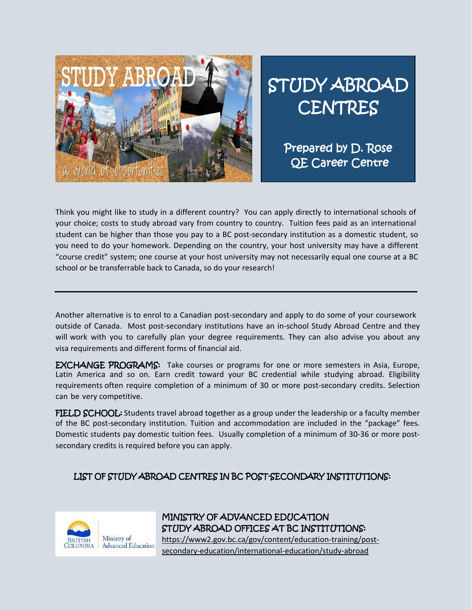

## STUDY ABROAD **CENTRES**

Prepared by D. Rose QE Career Centre

Think you might like to study in a different country? You can apply directly to international schools of your choice; costs to study abroad vary from country to country. Tuition fees paid as an international student can be higher than those you pay to a BC post-secondary institution as a domestic student, so you need to do your homework. Depending on the country, your host university may have a different "course credit" system; one course at your host university may not necessarily equal one course at a BC school or be transferrable back to Canada, so do your research!

Another alternative is to enrol to a Canadian post-secondary and apply to do some of your coursework outside of Canada. Most post-secondary institutions have an in-school Study Abroad Centre and they will work with you to carefully plan your degree requirements. They can also advise you about any visa requirements and different forms of financial aid.

EXCHANGE PROGRAMS: Take courses or programs for one or more semesters in Asia, Europe, Latin America and so on. Earn credit toward your BC credential while studying abroad. Eligibility requirements often require completion of a minimum of 30 or more post-secondary credits. Selection can be very competitive.

FIELD SCHOOL: Students travel abroad together as a group under the leadership or a faculty member of the BC post-secondary institution. Tuition and accommodation are included in the "package" fees. Domestic students pay domestic tuition fees. Usually completion of a minimum of 30-36 or more postsecondary credits is required before you can apply.

## LIST OF STUDY ABROAD CENTRES IN BC POST-SECONDARY INSTITUTIONS:



MINISTRY OF ADVANCED EDUCATION STUDY ABROAD OFFICES AT BC INSTITUTIONS: https://www2.gov.bc.ca/gov/content/education-training/postsecondary-education/international-education/study-abroad